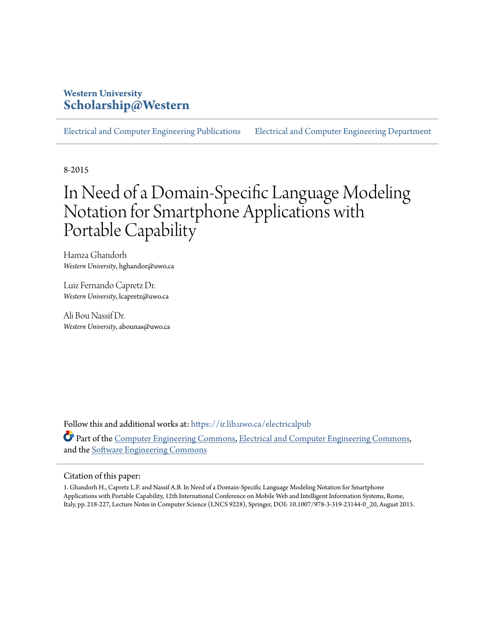## **Western University [Scholarship@Western](https://ir.lib.uwo.ca?utm_source=ir.lib.uwo.ca%2Felectricalpub%2F69&utm_medium=PDF&utm_campaign=PDFCoverPages)**

[Electrical and Computer Engineering Publications](https://ir.lib.uwo.ca/electricalpub?utm_source=ir.lib.uwo.ca%2Felectricalpub%2F69&utm_medium=PDF&utm_campaign=PDFCoverPages) [Electrical and Computer Engineering Department](https://ir.lib.uwo.ca/electrical?utm_source=ir.lib.uwo.ca%2Felectricalpub%2F69&utm_medium=PDF&utm_campaign=PDFCoverPages)

8-2015

# In Need of a Domain-Specific Language Modeling Notation for Smartphone Applications with Portable Capability

Hamza Ghandorh *Western University*, hghandor@uwo.ca

Luiz Fernando Capretz Dr. *Western University*, lcapretz@uwo.ca

Ali Bou Nassif Dr. *Western University*, abounas@uwo.ca

Follow this and additional works at: [https://ir.lib.uwo.ca/electricalpub](https://ir.lib.uwo.ca/electricalpub?utm_source=ir.lib.uwo.ca%2Felectricalpub%2F69&utm_medium=PDF&utm_campaign=PDFCoverPages) Part of the [Computer Engineering Commons,](http://network.bepress.com/hgg/discipline/258?utm_source=ir.lib.uwo.ca%2Felectricalpub%2F69&utm_medium=PDF&utm_campaign=PDFCoverPages) [Electrical and Computer Engineering Commons,](http://network.bepress.com/hgg/discipline/266?utm_source=ir.lib.uwo.ca%2Felectricalpub%2F69&utm_medium=PDF&utm_campaign=PDFCoverPages) and the [Software Engineering Commons](http://network.bepress.com/hgg/discipline/150?utm_source=ir.lib.uwo.ca%2Felectricalpub%2F69&utm_medium=PDF&utm_campaign=PDFCoverPages)

#### Citation of this paper:

1. Ghandorh H., Capretz L.F. and Nassif A.B. In Need of a Domain-Specific Language Modeling Notation for Smartphone Applications with Portable Capability, 12th International Conference on Mobile Web and Intelligent Information Systems, Rome, Italy, pp. 218-227, Lecture Notes in Computer Science (LNCS 9228), Springer, DOI: 10.1007/978-3-319-23144-0\_20, August 2015.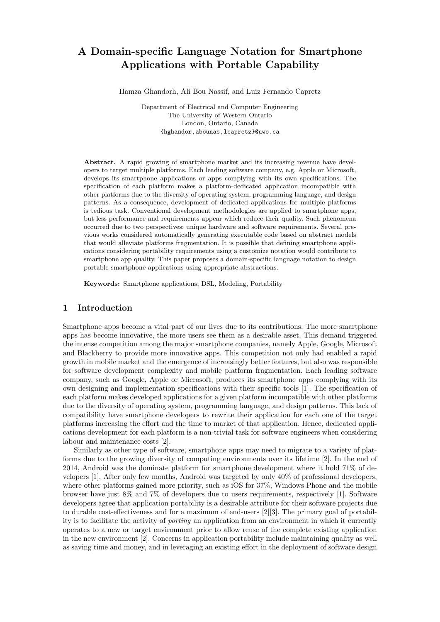## A Domain-specific Language Notation for Smartphone Applications with Portable Capability

Hamza Ghandorh, Ali Bou Nassif, and Luiz Fernando Capretz

Department of Electrical and Computer Engineering The University of Western Ontario London, Ontario, Canada {hghandor,abounas,lcapretz}@uwo.ca

Abstract. A rapid growing of smartphone market and its increasing revenue have developers to target multiple platforms. Each leading software company, e.g. Apple or Microsoft, develops its smartphone applications or apps complying with its own specifications. The specification of each platform makes a platform-dedicated application incompatible with other platforms due to the diversity of operating system, programming language, and design patterns. As a consequence, development of dedicated applications for multiple platforms is tedious task. Conventional development methodologies are applied to smartphone apps, but less performance and requirements appear which reduce their quality. Such phenomena occurred due to two perspectives: unique hardware and software requirements. Several previous works considered automatically generating executable code based on abstract models that would alleviate platforms fragmentation. It is possible that defining smartphone applications considering portability requirements using a customize notation would contribute to smartphone app quality. This paper proposes a domain-specific language notation to design portable smartphone applications using appropriate abstractions.

Keywords: Smartphone applications, DSL, Modeling, Portability

### 1 Introduction

Smartphone apps become a vital part of our lives due to its contributions. The more smartphone apps has become innovative, the more users see them as a desirable asset. This demand triggered the intense competition among the major smartphone companies, namely Apple, Google, Microsoft and Blackberry to provide more innovative apps. This competition not only had enabled a rapid growth in mobile market and the emergence of increasingly better features, but also was responsible for software development complexity and mobile platform fragmentation. Each leading software company, such as Google, Apple or Microsoft, produces its smartphone apps complying with its own designing and implementation specifications with their specific tools [1]. The specification of each platform makes developed applications for a given platform incompatible with other platforms due to the diversity of operating system, programming language, and design patterns. This lack of compatibility have smartphone developers to rewrite their application for each one of the target platforms increasing the effort and the time to market of that application. Hence, dedicated applications development for each platform is a non-trivial task for software engineers when considering labour and maintenance costs [2].

Similarly as other type of software, smartphone apps may need to migrate to a variety of platforms due to the growing diversity of computing environments over its lifetime [2]. In the end of 2014, Android was the dominate platform for smartphone development where it hold 71% of developers [1]. After only few months, Android was targeted by only 40% of professional developers, where other platforms gained more priority, such as iOS for 37%, Windows Phone and the mobile browser have just 8% and 7% of developers due to users requirements, respectively [1]. Software developers agree that application portability is a desirable attribute for their software projects due to durable cost-effectiveness and for a maximum of end-users [2][3]. The primary goal of portability is to facilitate the activity of porting an application from an environment in which it currently operates to a new or target environment prior to allow reuse of the complete existing application in the new environment [2]. Concerns in application portability include maintaining quality as well as saving time and money, and in leveraging an existing effort in the deployment of software design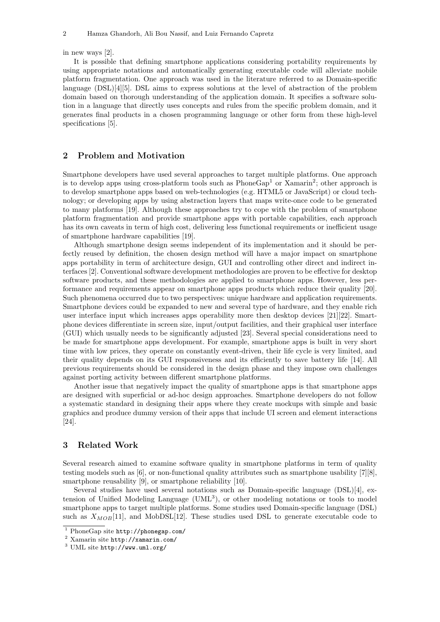in new ways [2].

It is possible that defining smartphone applications considering portability requirements by using appropriate notations and automatically generating executable code will alleviate mobile platform fragmentation. One approach was used in the literature referred to as Domain-specific language (DSL)[4][5]. DSL aims to express solutions at the level of abstraction of the problem domain based on thorough understanding of the application domain. It specifies a software solution in a language that directly uses concepts and rules from the specific problem domain, and it generates final products in a chosen programming language or other form from these high-level specifications [5].

#### 2 Problem and Motivation

Smartphone developers have used several approaches to target multiple platforms. One approach is to develop apps using cross-platform tools such as  $PhoneGap<sup>1</sup>$  or Xamarin<sup>2</sup>; other approach is to develop smartphone apps based on web-technologies (e.g. HTML5 or JavaScript) or cloud technology; or developing apps by using abstraction layers that maps write-once code to be generated to many platforms [19]. Although these approaches try to cope with the problem of smartphone platform fragmentation and provide smartphone apps with portable capabilities, each approach has its own caveats in term of high cost, delivering less functional requirements or inefficient usage of smartphone hardware capabilities [19].

Although smartphone design seems independent of its implementation and it should be perfectly reused by definition, the chosen design method will have a major impact on smartphone apps portability in term of architecture design, GUI and controlling other direct and indirect interfaces [2]. Conventional software development methodologies are proven to be effective for desktop software products, and these methodologies are applied to smartphone apps. However, less performance and requirements appear on smartphone apps products which reduce their quality [20]. Such phenomena occurred due to two perspectives: unique hardware and application requirements. Smartphone devices could be expanded to new and several type of hardware, and they enable rich user interface input which increases apps operability more then desktop devices [21][22]. Smartphone devices differentiate in screen size, input/output facilities, and their graphical user interface (GUI) which usually needs to be significantly adjusted [23]. Several special considerations need to be made for smartphone apps development. For example, smartphone apps is built in very short time with low prices, they operate on constantly event-driven, their life cycle is very limited, and their quality depends on its GUI responsiveness and its efficiently to save battery life [14]. All previous requirements should be considered in the design phase and they impose own challenges against porting activity between different smartphone platforms.

Another issue that negatively impact the quality of smartphone apps is that smartphone apps are designed with superficial or ad-hoc design approaches. Smartphone developers do not follow a systematic standard in designing their apps where they create mockups with simple and basic graphics and produce dummy version of their apps that include UI screen and element interactions [24].

#### 3 Related Work

Several research aimed to examine software quality in smartphone platforms in term of quality testing models such as [6], or non-functional quality attributes such as smartphone usability [7][8], smartphone reusability [9], or smartphone reliability [10].

Several studies have used several notations such as Domain-specific language (DSL)[4], extension of Unified Modeling Language (UML<sup>3</sup>), or other modeling notations or tools to model smartphone apps to target multiple platforms. Some studies used Domain-specific language (DSL) such as  $X_{MOB}[11]$ , and MobDSL[12]. These studies used DSL to generate executable code to

<sup>1</sup> PhoneGap site http://phonegap.com/

<sup>2</sup> Xamarin site http://xamarin.com/

<sup>3</sup> UML site http://www.uml.org/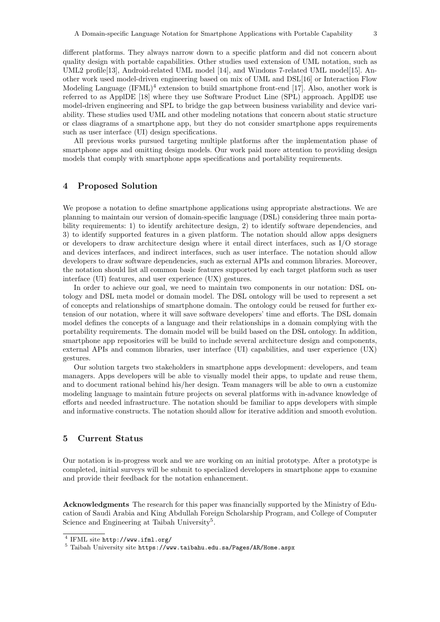different platforms. They always narrow down to a specific platform and did not concern about quality design with portable capabilities. Other studies used extension of UML notation, such as UML2 profile[13], Android-related UML model [14], and Windons 7-related UML model[15]. Another work used model-driven engineering based on mix of UML and DSL[16] or Interaction Flow Modeling Language  $(\text{IFML})^4$  extension to build smartphone front-end [17]. Also, another work is referred to as ApplDE [18] where they use Software Product Line (SPL) approach. ApplDE use model-driven engineering and SPL to bridge the gap between business variability and device variability. These studies used UML and other modeling notations that concern about static structure or class diagrams of a smartphone app, but they do not consider smartphone apps requirements such as user interface (UI) design specifications.

All previous works pursued targeting multiple platforms after the implementation phase of smartphone apps and omitting design models. Our work paid more attention to providing design models that comply with smartphone apps specifications and portability requirements.

#### 4 Proposed Solution

We propose a notation to define smartphone applications using appropriate abstractions. We are planning to maintain our version of domain-specific language (DSL) considering three main portability requirements: 1) to identify architecture design, 2) to identify software dependencies, and 3) to identify supported features in a given platform. The notation should allow apps designers or developers to draw architecture design where it entail direct interfaces, such as I/O storage and devices interfaces, and indirect interfaces, such as user interface. The notation should allow developers to draw software dependencies, such as external APIs and common libraries. Moreover, the notation should list all common basic features supported by each target platform such as user interface (UI) features, and user experience (UX) gestures.

In order to achieve our goal, we need to maintain two components in our notation: DSL ontology and DSL meta model or domain model. The DSL ontology will be used to represent a set of concepts and relationships of smartphone domain. The ontology could be reused for further extension of our notation, where it will save software developers' time and efforts. The DSL domain model defines the concepts of a language and their relationships in a domain complying with the portability requirements. The domain model will be build based on the DSL ontology. In addition, smartphone app repositories will be build to include several architecture design and components, external APIs and common libraries, user interface (UI) capabilities, and user experience (UX) gestures.

Our solution targets two stakeholders in smartphone apps development: developers, and team managers. Apps developers will be able to visually model their apps, to update and reuse them, and to document rational behind his/her design. Team managers will be able to own a customize modeling language to maintain future projects on several platforms with in-advance knowledge of efforts and needed infrastructure. The notation should be familiar to apps developers with simple and informative constructs. The notation should allow for iterative addition and smooth evolution.

#### 5 Current Status

Our notation is in-progress work and we are working on an initial prototype. After a prototype is completed, initial surveys will be submit to specialized developers in smartphone apps to examine and provide their feedback for the notation enhancement.

Acknowledgments The research for this paper was financially supported by the Ministry of Education of Saudi Arabia and King Abdullah Foreign Scholarship Program, and College of Computer Science and Engineering at Taibah University<sup>5</sup>.

<sup>4</sup> IFML site http://www.ifml.org/

<sup>5</sup> Taibah University site https://www.taibahu.edu.sa/Pages/AR/Home.aspx